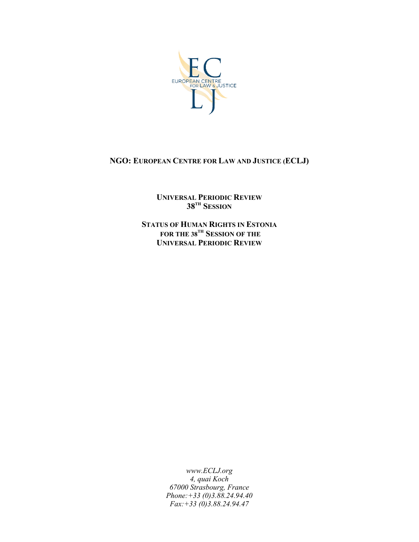

# **NGO: EUROPEAN CENTRE FOR LAW AND JUSTICE (ECLJ)**

**UNIVERSAL PERIODIC REVIEW**  $38^{\textnormal{th}}$  Session

**STATUS OF HUMAN RIGHTS IN ESTONIA FOR THE 38 TH SESSION OF THE UNIVERSAL PERIODIC REVIEW**

> *www.ECLJ.org 4, quai Koch 67000 Strasbourg, France Phone:+33 (0)3.88.24.94.40 Fax:+33 (0)3.88.24.94.47*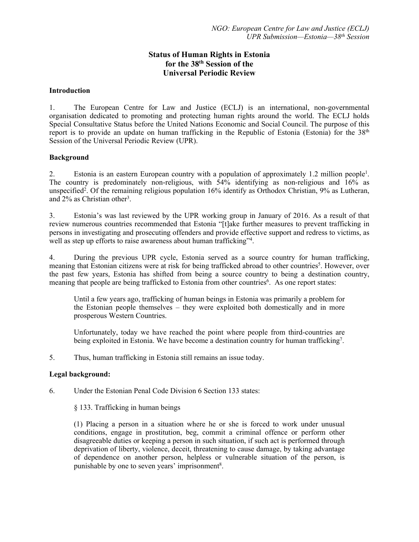## **Status of Human Rights in Estonia for the 38th Session of the Universal Periodic Review**

#### **Introduction**

1. The European Centre for Law and Justice (ECLJ) is an international, non-governmental organisation dedicated to promoting and protecting human rights around the world. The ECLJ holds Special Consultative Status before the United Nations Economic and Social Council. The purpose of this report is to provide an update on human trafficking in the Republic of Estonia (Estonia) for the  $38<sup>th</sup>$ Session of the Universal Periodic Review (UPR).

#### **Background**

2. Estonia is an eastern European country with a population of approximately 1.2 million people<sup>1</sup>. The country is predominately non-religious, with  $\frac{54\%}{9}$  identifying as non-religious and  $\frac{16\%}{9}$  as unspecified<sup>2</sup> . Of the remaining religious population 16% identify as Orthodox Christian, 9% as Lutheran, and 2% as Christian other 3 .

3. Estonia'<sup>s</sup> was last reviewed by the UPR working group in January of 2016. As <sup>a</sup> result of that review numerous countries recommended that Estonia "[t]ake further measures to preven<sup>t</sup> trafficking in persons in investigating and prosecuting offenders and provide effective suppor<sup>t</sup> and redress to victims, as well as step up efforts to raise awareness about human trafficking"<sup>4</sup> .

4. During the previous UPR cycle, Estonia served as <sup>a</sup> source country for human trafficking, meaning that Estonian citizens were at risk for being trafficked abroad to other countries<sup>5</sup>. However, over the pas<sup>t</sup> few years, Estonia has shifted from being <sup>a</sup> source country to being <sup>a</sup> destination country, meaning that people are being trafficked to Estonia from other countries<sup>6</sup>. As one report states:

Until <sup>a</sup> few years ago, trafficking of human beings in Estonia was primarily <sup>a</sup> problem for the Estonian people themselves – they were exploited both domestically and in more prosperous Western Countries.

Unfortunately, today we have reached the point where people from third-countries are being exploited in Estonia. We have become a destination country for human trafficking<sup>7</sup>.

5. Thus, human trafficking in Estonia still remains an issue today.

### **Legal background:**

6. Under the Estonian Penal Code Division 6 Section 133 states:

§ 133. Trafficking in human beings

(1) Placing <sup>a</sup> person in <sup>a</sup> situation where he or she is forced to work under unusual conditions, engage in prostitution, beg, commit <sup>a</sup> criminal offence or perform other disagreeable duties or keeping <sup>a</sup> person in such situation, if such act is performed through deprivation of liberty, violence, deceit, threatening to cause damage, by taking advantage of dependence on another person, helpless or vulnerable situation of the person, is punishable by one to seven years' imprisonment<sup>8</sup>.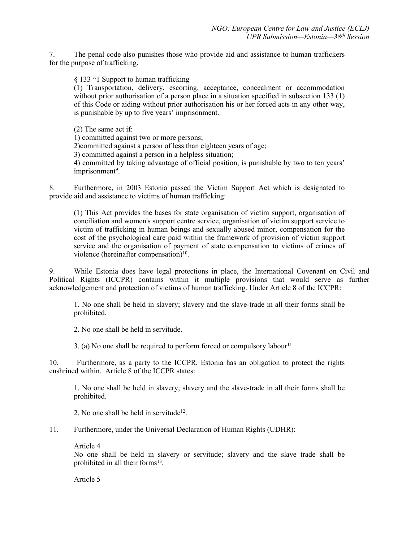7. The penal code also punishes those who provide aid and assistance to human traffickers for the purpose of trafficking.

§ 133 ^1 Support to human trafficking

(1) Transportation, delivery, escorting, acceptance, concealment or accommodation without prior authorisation of a person place in a situation specified in subsection 133 (1) of this Code or aiding without prior authorisation his or her forced acts in any other way, is punishable by up to five years' imprisonment.

(2) The same act if:

1) committed against two or more persons;

2)committed against <sup>a</sup> person of less than eighteen years of age;

3) committed against <sup>a</sup> person in <sup>a</sup> helpless situation;

4) committed by taking advantage of official position, is punishable by two to ten years' imprisonment 9 .

8. Furthermore, in 2003 Estonia passed the Victim Support Act which is designated to provide aid and assistance to victims of human trafficking:

(1) This Act provides the bases for state organisation of victim support, organisation of conciliation and women's suppor<sup>t</sup> centre service, organisation of victim suppor<sup>t</sup> service to victim of trafficking in human beings and sexually abused minor, compensation for the cost of the psychological care paid within the framework of provision of victim suppor<sup>t</sup> service and the organisation of paymen<sup>t</sup> of state compensation to victims of crimes of violence (hereinafter compensation)<sup>10</sup>.

9. While Estonia does have legal protections in place, the International Covenant on Civil and Political Rights (ICCPR) contains within it multiple provisions that would serve as further acknowledgement and protection of victims of human trafficking. Under Article 8 of the ICCPR:

1. No one shall be held in slavery; slavery and the slave-trade in all their forms shall be prohibited.

2. No one shall be held in servitude.

3. (a) No one shall be required to perform forced or compulsory labour $^{11}$ .

10. Furthermore, as <sup>a</sup> party to the ICCPR, Estonia has an obligation to protect the rights enshrined within. Article 8 of the ICCPR states:

1. No one shall be held in slavery; slavery and the slave-trade in all their forms shall be prohibited.

2. No one shall be held in servitude<sup>12</sup>.

11. Furthermore, under the Universal Declaration of Human Rights (UDHR):

Article 4

No one shall be held in slavery or servitude; slavery and the slave trade shall be prohibited in all their forms<sup>13</sup>.

Article 5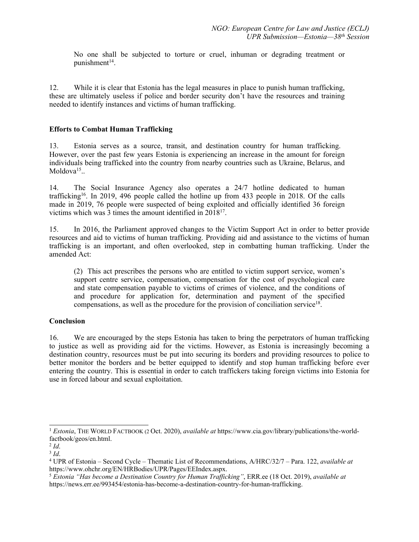No one shall be subjected to torture or cruel, inhuman or degrading treatment or punishment 14 .

12. While it is clear that Estonia has the legal measures in place to punish human trafficking, these are ultimately useless if police and border security don'<sup>t</sup> have the resources and training needed to identify instances and victims of human trafficking.

#### **Efforts to Combat Human Trafficking**

13. Estonia serves as <sup>a</sup> source, transit, and destination country for human trafficking. However, over the pas<sup>t</sup> few years Estonia is experiencing an increase in the amount for foreign individuals being trafficked into the country from nearby countries such as Ukraine, Belarus, and Moldova<sup>15</sup>..

14. The Social Insurance Agency also operates <sup>a</sup> 24/7 hotline dedicated to human trafficking<sup>16</sup>. In 2019, 496 people called the hotline up from 433 people in 2018. Of the calls made in 2019, 76 people were suspected of being exploited and officially identified 36 foreign victims which was 3 times the amount identified in 2018<sup>17</sup> .

15. In 2016, the Parliament approved changes to the Victim Support Act in order to better provide resources and aid to victims of human trafficking. Providing aid and assistance to the victims of human trafficking is an important, and often overlooked, step in combatting human trafficking. Under the amended Act:

(2) This act prescribes the persons who are entitled to victim suppor<sup>t</sup> service, women'<sup>s</sup> suppor<sup>t</sup> centre service, compensation, compensation for the cost of psychological care and state compensation payable to victims of crimes of violence, and the conditions of and procedure for application for, determination and paymen<sup>t</sup> of the specified compensations, as well as the procedure for the provision of conciliation service<sup>18</sup>.

### **Conclusion**

16. We are encouraged by the steps Estonia has taken to bring the perpetrators of human trafficking to justice as well as providing aid for the victims. However, as Estonia is increasingly becoming <sup>a</sup> destination country, resources must be pu<sup>t</sup> into securing its borders and providing resources to police to better monitor the borders and be better equipped to identify and stop human trafficking before ever entering the country. This is essential in order to catch traffickers taking foreign victims into Estonia for use in forced labour and sexual exploitation.

<sup>1</sup> *Estonia*, THE WORLD FACTBOOK (2 Oct. 2020), *available at* https://www.cia.gov/library/publications/the-worldfactbook/geos/en.html.

<sup>2</sup> *Id*.

<sup>3</sup> *Id*.

<sup>4</sup> UPR of Estonia – Second Cycle – Thematic List of Recommendations, A/HRC/32/7 – Para. 122, *available at* https://www.ohchr.org/EN/HRBodies/UPR/Pages/EEIndex.aspx.

<sup>5</sup> *Estonia "Has become <sup>a</sup> Destination Country for Human Trafficking"*, ERR.ee (18 Oct. 2019), *available at* https://news.err.ee/993454/estonia-has-become-a-destination-country-for-human-trafficking.